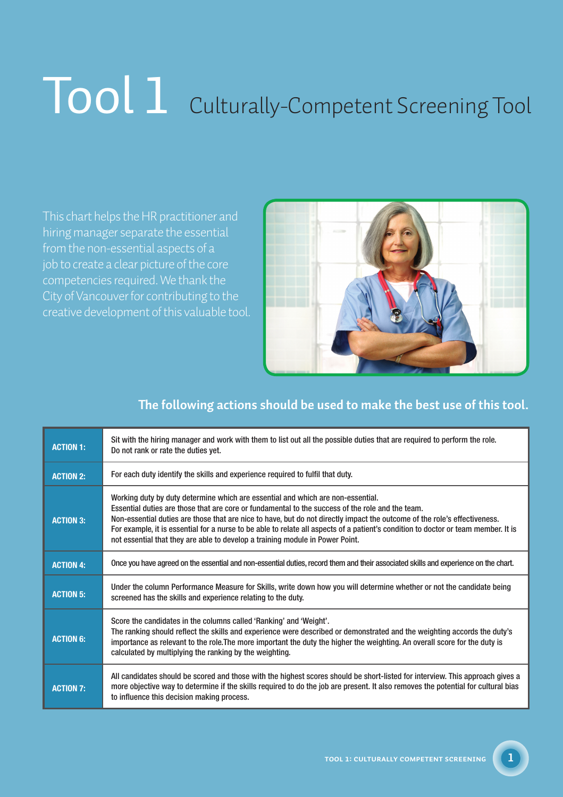## Tool 1 Culturally-Competent Screening Tool

This chart helps the HR practitioner and hiring manager separate the essential from the non-essential aspects of a job to create a clear picture of the core competencies required. We thank the City of Vancouver for contributing to the creative development of this valuable tool.



## **The following actions should be used to make the best use of this tool.**

| <b>ACTION 1:</b> | Sit with the hiring manager and work with them to list out all the possible duties that are required to perform the role.<br>Do not rank or rate the duties yet.                                                                                                                                                                                                                                                                                                                                                                        |
|------------------|-----------------------------------------------------------------------------------------------------------------------------------------------------------------------------------------------------------------------------------------------------------------------------------------------------------------------------------------------------------------------------------------------------------------------------------------------------------------------------------------------------------------------------------------|
| <b>ACTION 2:</b> | For each duty identify the skills and experience required to fulfil that duty.                                                                                                                                                                                                                                                                                                                                                                                                                                                          |
| <b>ACTION 3:</b> | Working duty by duty determine which are essential and which are non-essential.<br>Essential duties are those that are core or fundamental to the success of the role and the team.<br>Non-essential duties are those that are nice to have, but do not directly impact the outcome of the role's effectiveness.<br>For example, it is essential for a nurse to be able to relate all aspects of a patient's condition to doctor or team member. It is<br>not essential that they are able to develop a training module in Power Point. |
| <b>ACTION 4:</b> | Once you have agreed on the essential and non-essential duties, record them and their associated skills and experience on the chart.                                                                                                                                                                                                                                                                                                                                                                                                    |
| <b>ACTION 5:</b> | Under the column Performance Measure for Skills, write down how you will determine whether or not the candidate being<br>screened has the skills and experience relating to the duty.                                                                                                                                                                                                                                                                                                                                                   |
| <b>ACTION 6:</b> | Score the candidates in the columns called 'Ranking' and 'Weight'.<br>The ranking should reflect the skills and experience were described or demonstrated and the weighting accords the duty's<br>importance as relevant to the role. The more important the duty the higher the weighting. An overall score for the duty is<br>calculated by multiplying the ranking by the weighting.                                                                                                                                                 |
| <b>ACTION 7:</b> | All candidates should be scored and those with the highest scores should be short-listed for interview. This approach gives a<br>more objective way to determine if the skills required to do the job are present. It also removes the potential for cultural bias<br>to influence this decision making process.                                                                                                                                                                                                                        |